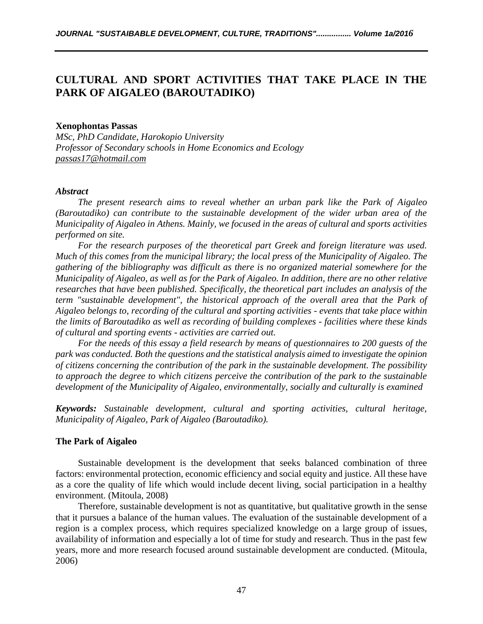# **CULTURAL AND SPORT ACTIVITIES THAT TAKE PLACE IN THE PARK OF AIGALEO (BAROUTADIKO)**

#### **Xenophontas Passas**

*MSc, PhD Candidate, Harokopio University Professor of Secondary schools in Home Economics and Ecology [passas17@hotmail.com](mailto:passas17@hotmail.com)*

#### *Abstract*

*The present research aims to reveal whether an urban park like the Park of Aigaleo (Baroutadiko) can contribute to the sustainable development of the wider urban area of the Municipality of Aigaleo in Athens. Mainly, we focused in the areas of cultural and sports activities performed on site.*

*For the research purposes of the theoretical part Greek and foreign literature was used. Much of this comes from the municipal library; the local press of the Municipality of Aigaleo. The gathering of the bibliography was difficult as there is no organized material somewhere for the Municipality of Aigaleo, as well as for the Park of Aigaleo. In addition, there are no other relative researches that have been published. Specifically, the theoretical part includes an analysis of the term "sustainable development", the historical approach of the overall area that the Park of Aigaleo belongs to, recording of the cultural and sporting activities - events that take place within the limits of Baroutadiko as well as recording of building complexes - facilities where these kinds of cultural and sporting events - activities are carried out.*

*For the needs of this essay a field research by means of questionnaires to 200 guests of the park was conducted. Both the questions and the statistical analysis aimed to investigate the opinion of citizens concerning the contribution of the park in the sustainable development. The possibility to approach the degree to which citizens perceive the contribution of the park to the sustainable development of the Municipality of Aigaleo, environmentally, socially and culturally is examined*

*Keywords: Sustainable development, cultural and sporting activities, cultural heritage, Municipality of Aigaleo, Park of Aigaleo (Baroutadiko).*

## **The Park of Aigaleo**

Sustainable development is the development that seeks balanced combination of three factors: environmental protection, economic efficiency and social equity and justice. All these have as a core the quality of life which would include decent living, social participation in a healthy environment. (Mitoula, 2008)

Therefore, sustainable development is not as quantitative, but qualitative growth in the sense that it pursues a balance of the human values. The evaluation of the sustainable development of a region is a complex process, which requires specialized knowledge on a large group of issues, availability of information and especially a lot of time for study and research. Thus in the past few years, more and more research focused around sustainable development are conducted. (Mitoula, 2006)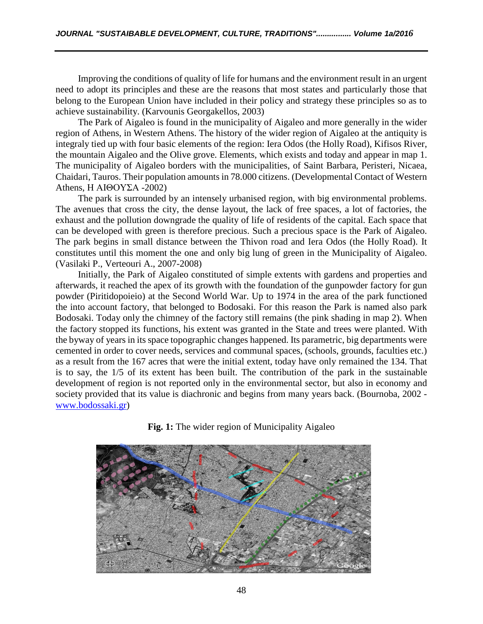Improving the conditions of quality of life for humans and the environment result in an urgent need to adopt its principles and these are the reasons that most states and particularly those that belong to the European Union have included in their policy and strategy these principles so as to achieve sustainability. (Karvounis Georgakellos, 2003)

The Park of Aigaleo is found in the municipality of Aigaleo and more generally in the wider region of Athens, in Western Athens. The history of the wider region of Aigaleo at the antiquity is integraly tied up with four basic elements of the region: Iera Odos (the Holly Road), Kifisos River, the mountain Aigaleo and the Olive grove. Elements, which exists and today and appear in map 1. The municipality of Aigaleo borders with the municipalities, of Saint Barbara, Peristeri, Nicaea, Chaidari, Tauros. Their population amounts in 78.000 citizens. (Developmental Contact of Western Athens, Η ΑΙΘΟΥΣΑ -2002)

The park is surrounded by an intensely urbanised region, with big environmental problems. The avenues that cross the city, the dense layout, the lack of free spaces, a lot of factories, the exhaust and the pollution downgrade the quality of life of residents of the capital. Each space that can be developed with green is therefore precious. Such a precious space is the Park of Aigaleo. The park begins in small distance between the Thivon road and Iera Odos (the Holly Road). It constitutes until this moment the one and only big lung of green in the Municipality of Aigaleo. (Vasilaki P., Verteouri A., 2007-2008)

Initially, the Park of Aigaleo constituted of simple extents with gardens and properties and afterwards, it reached the apex of its growth with the foundation of the gunpowder factory for gun powder (Piritidopoieio) at the Second World War. Up to 1974 in the area of the park functioned the into account factory, that belonged to Bodosaki. For this reason the Park is named also park Bodosaki. Today only the chimney of the factory still remains (the pink shading in map 2). When the factory stopped its functions, his extent was granted in the State and trees were planted. With the byway of years in its space topographic changes happened. Its parametric, big departments were cemented in order to cover needs, services and communal spaces, (schools, grounds, faculties etc.) as a result from the 167 acres that were the initial extent, today have only remained the 134. That is to say, the 1/5 of its extent has been built. The contribution of the park in the sustainable development of region is not reported only in the environmental sector, but also in economy and society provided that its value is diachronic and begins from many years back. (Bournoba, 2002 [www.bodossaki.gr\)](http://www.bodossaki.gr/)



**Fig. 1:** The wider region of Municipality Aigaleo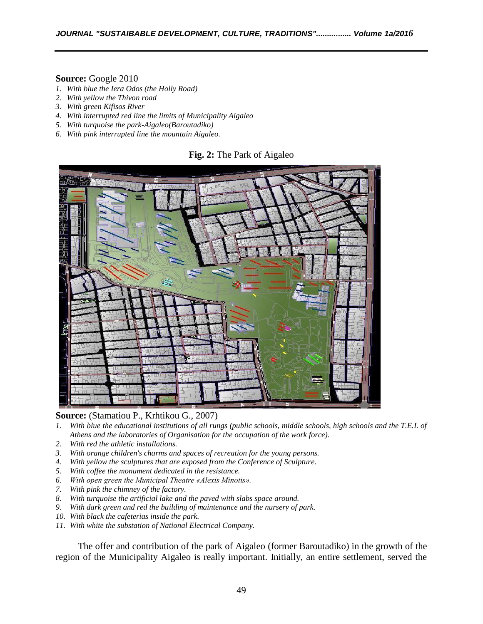#### **Source:** Google 2010

- *1. With blue the Iera Odos (the Holly Road)*
- *2. With yellow the Thivon road*
- *3. With green Kifisos River*
- *4. With interrupted red line the limits of Municipality Aigaleo*
- *5. With turquoise the park-Aigaleo(Baroutadiko)*
- *6. With pink interrupted line the mountain Aigaleo.*

#### **Fig. 2:** The Park of Aigaleo



**Source:** (Stamatiou P., Krhtikou G., 2007)

- *1. With blue the educational institutions of all rungs (public schools, middle schools, high schools and the T.E.I. of Athens and the laboratories of Organisation for the occupation of the work force).*
- *2. With red the athletic installations.*
- *3. With orange children's charms and spaces of recreation for the young persons.*
- *4. With yellow the sculptures that are exposed from the Conference of Sculpture.*
- *5. With coffee the monument dedicated in the resistance.*
- *6. With open green the Municipal Theatre «Alexis Minotis».*
- *7. With pink the chimney of the factory.*
- *8. With turquoise the artificial lake and the paved with slabs space around.*
- *9. With dark green and red the building of maintenance and the nursery of park.*
- *10. With black the cafeterias inside the park.*
- *11. With white the substation of National Electrical Company.*

The offer and contribution of the park of Aigaleo (former Baroutadiko) in the growth of the region of the Municipality Aigaleo is really important. Initially, an entire settlement, served the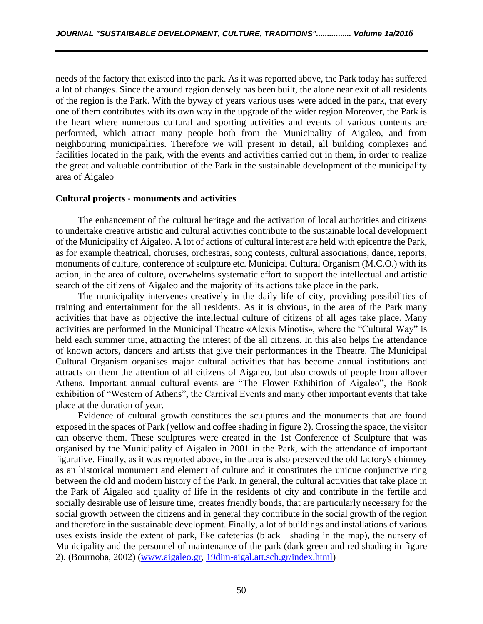needs of the factory that existed into the park. As it was reported above, the Park today has suffered a lot of changes. Since the around region densely has been built, the alone near exit of all residents of the region is the Park. With the byway of years various uses were added in the park, that every one of them contributes with its own way in the upgrade of the wider region Moreover, the Park is the heart where numerous cultural and sporting activities and events of various contents are performed, which attract many people both from the Municipality of Aigaleo, and from neighbouring municipalities. Therefore we will present in detail, all building complexes and facilities located in the park, with the events and activities carried out in them, in order to realize the great and valuable contribution of the Park in the sustainable development of the municipality area of Aigaleo

#### **Cultural projects - monuments and activities**

The enhancement of the cultural heritage and the activation of local authorities and citizens to undertake creative artistic and cultural activities contribute to the sustainable local development of the Municipality of Aigaleo. A lot of actions of cultural interest are held with epicentre the Park, as for example theatrical, choruses, orchestras, song contests, cultural associations, dance, reports, monuments of culture, conference of sculpture etc. Municipal Cultural Organism (M.C.O.) with its action, in the area of culture, overwhelms systematic effort to support the intellectual and artistic search of the citizens of Aigaleo and the majority of its actions take place in the park.

The municipality intervenes creatively in the daily life of city, providing possibilities of training and entertainment for the all residents. As it is obvious, in the area of the Park many activities that have as objective the intellectual culture of citizens of all ages take place. Many activities are performed in the Municipal Theatre «Alexis Minotis», where the "Cultural Way" is held each summer time, attracting the interest of the all citizens. In this also helps the attendance of known actors, dancers and artists that give their performances in the Theatre. The Municipal Cultural Organism organises major cultural activities that has become annual institutions and attracts on them the attention of all citizens of Aigaleo, but also crowds of people from allover Athens. Important annual cultural events are "The Flower Exhibition of Aigaleo", the Book exhibition of "Western of Athens", the Carnival Events and many other important events that take place at the duration of year.

Evidence of cultural growth constitutes the sculptures and the monuments that are found exposed in the spaces of Park (yellow and coffee shading in figure 2). Crossing the space, the visitor can observe them. These sculptures were created in the 1st Conference of Sculpture that was organised by the Municipality of Aigaleo in 2001 in the Park, with the attendance of important figurative. Finally, as it was reported above, in the area is also preserved the old factory's chimney as an historical monument and element of culture and it constitutes the unique conjunctive ring between the old and modern history of the Park. In general, the cultural activities that take place in the Park of Aigaleo add quality of life in the residents of city and contribute in the fertile and socially desirable use of leisure time, creates friendly bonds, that are particularly necessary for the social growth between the citizens and in general they contribute in the social growth of the region and therefore in the sustainable development. Finally, a lot of buildings and installations of various uses exists inside the extent of park, like cafeterias (black shading in the map), the nursery of Municipality and the personnel of maintenance of the park (dark green and red shading in figure 2). (Bournoba, 2002) [\(www.aigaleo.gr,](http://www.aigaleo.gr/) 19dim-aigal.att.sch.gr/index.html)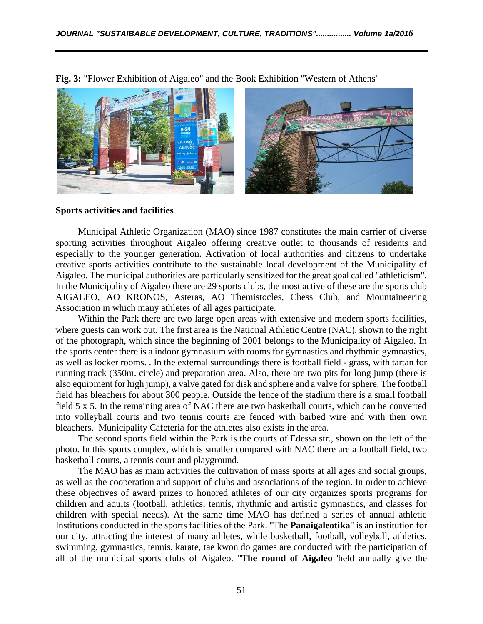

**Fig. 3:** "Flower Exhibition of Aigaleo" and the Book Exhibition "Western of Athens'

#### **Sports activities and facilities**

Municipal Athletic Organization (MAO) since 1987 constitutes the main carrier of diverse sporting activities throughout Aigaleo offering creative outlet to thousands of residents and especially to the younger generation. Activation of local authorities and citizens to undertake creative sports activities contribute to the sustainable local development of the Municipality of Aigaleo. The municipal authorities are particularly sensitized for the great goal called "athleticism". In the Municipality of Aigaleo there are 29 sports clubs, the most active of these are the sports club AIGALEO, AO KRONOS, Asteras, AO Themistocles, Chess Club, and Mountaineering Association in which many athletes of all ages participate.

Within the Park there are two large open areas with extensive and modern sports facilities, where guests can work out. The first area is the National Athletic Centre (NAC), shown to the right of the photograph, which since the beginning of 2001 belongs to the Municipality of Aigaleo. In the sports center there is a indoor gymnasium with rooms for gymnastics and rhythmic gymnastics, as well as locker rooms. . In the external surroundings there is football field - grass, with tartan for running track (350m. circle) and preparation area. Also, there are two pits for long jump (there is also equipment for high jump), a valve gated for disk and sphere and a valve for sphere. The football field has bleachers for about 300 people. Outside the fence of the stadium there is a small football field 5 x 5. In the remaining area of NAC there are two basketball courts, which can be converted into volleyball courts and two tennis courts are fenced with barbed wire and with their own bleachers. Municipality Cafeteria for the athletes also exists in the area.

The second sports field within the Park is the courts of Edessa str., shown on the left of the photo. In this sports complex, which is smaller compared with NAC there are a football field, two basketball courts, a tennis court and playground.

The MAO has as main activities the cultivation of mass sports at all ages and social groups, as well as the cooperation and support of clubs and associations of the region. In order to achieve these objectives of award prizes to honored athletes of our city organizes sports programs for children and adults (football, athletics, tennis, rhythmic and artistic gymnastics, and classes for children with special needs). At the same time MAO has defined a series of annual athletic Institutions conducted in the sports facilities of the Park. "The **Panaigaleotika**" is an institution for our city, attracting the interest of many athletes, while basketball, football, volleyball, athletics, swimming, gymnastics, tennis, karate, tae kwon do games are conducted with the participation of all of the municipal sports clubs of Aigaleo. "**The round of Aigaleo** 'held annually give the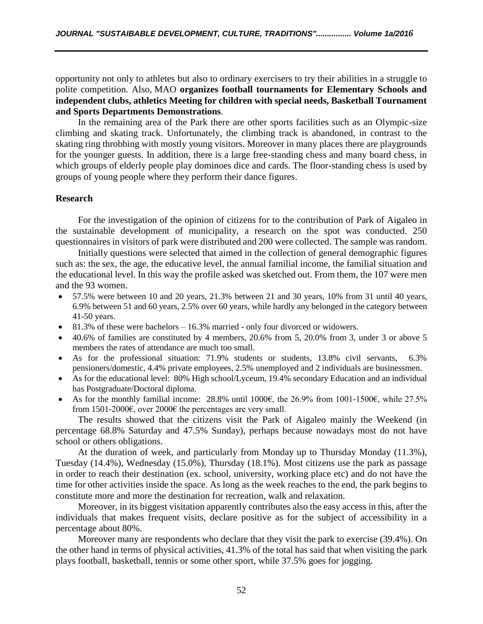opportunity not only to athletes but also to ordinary exercisers to try their abilities in a struggle to polite competition. Also, MAO **organizes football tournaments for Elementary Schools and independent clubs, athletics Meeting for children with special needs, Basketball Tournament and Sports Departments Demonstrations**.

In the remaining area of the Park there are other sports facilities such as an Olympic-size climbing and skating track. Unfortunately, the climbing track is abandoned, in contrast to the skating ring throbbing with mostly young visitors. Moreover in many places there are playgrounds for the younger guests. In addition, there is a large free-standing chess and many board chess, in which groups of elderly people play dominoes dice and cards. The floor-standing chess is used by groups of young people where they perform their dance figures.

### **Research**

For the investigation of the opinion of citizens for to the contribution of Park of Aigaleo in the sustainable development of municipality, a research on the spot was conducted. 250 questionnaires in visitors of park were distributed and 200 were collected. The sample was random.

Initially questions were selected that aimed in the collection of general demographic figures such as: the sex, the age, the educative level, the annual familial income, the familial situation and the educational level. In this way the profile asked was sketched out. From them, the 107 were men and the 93 women.

- 57.5% were between 10 and 20 years, 21.3% between 21 and 30 years, 10% from 31 until 40 years, 6.9% between 51 and 60 years, 2.5% over 60 years, while hardly any belonged in the category between 41-50 years.
- $\bullet$  81.3% of these were bachelors  $-16.3\%$  married only four divorced or widowers.
- $\bullet$  40.6% of families are constituted by 4 members, 20.6% from 5, 20.0% from 3, under 3 or above 5 members the rates of attendance are much too small.
- As for the professional situation: 71.9% students or students, 13.8% civil servants, 6.3% pensioners/domestic, 4.4% private employees, 2.5% unemployed and 2 individuals are businessmen.
- As for the educational level: 80% High school/Lyceum, 19.4% secondary Education and an individual has Postgraduate/Doctoral diploma.
- As for the monthly familial income: 28.8% until 1000€, the 26.9% from 1001-1500€, while 27.5% from 1501-2000€, over 2000€ the percentages are very small.

The results showed that the citizens visit the Park of Aigaleo mainly the Weekend (in percentage 68.8% Saturday and 47.5% Sunday), perhaps because nowadays most do not have school or others obligations.

At the duration of week, and particularly from Monday up to Thursday Monday (11.3%), Tuesday (14.4%), Wednesday (15.0%), Thursday (18.1%). Most citizens use the park as passage in order to reach their destination (ex. school, university, working place etc) and do not have the time for other activities inside the space. As long as the week reaches to the end, the park begins to constitute more and more the destination for recreation, walk and relaxation.

Moreover, in its biggest visitation apparently contributes also the easy access in this, after the individuals that makes frequent visits, declare positive as for the subject of accessibility in a percentage about 80%.

Moreover many are respondents who declare that they visit the park to exercise (39.4%). On the other hand in terms of physical activities, 41.3% of the total has said that when visiting the park plays football, basketball, tennis or some other sport, while 37.5% goes for jogging.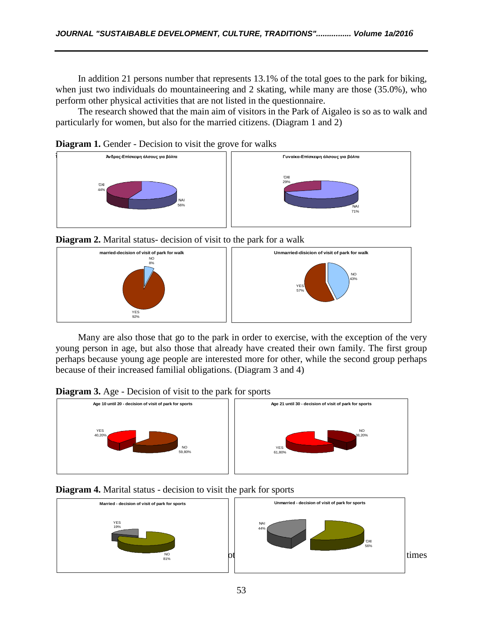In addition 21 persons number that represents 13.1% of the total goes to the park for biking, when just two individuals do mountaineering and 2 skating, while many are those (35.0%), who perform other physical activities that are not listed in the questionnaire.

The research showed that the main aim of visitors in the Park of Aigaleo is so as to walk and particularly for women, but also for the married citizens. (Diagram 1 and 2)

**Diagram 1.** Gender - Decision to visit the grove for walks



**Diagram 2.** Marital status- decision of visit to the park for a walk



Many are also those that go to the park in order to exercise, with the exception of the very young person in age, but also those that already have created their own family. The first group perhaps because young age people are interested more for other, while the second group perhaps because of their increased familial obligations. (Diagram 3 and 4)

**Diagram 3.** Age - Decision of visit to the park for sports



## **Diagram 4.** Marital status - decision to visit the park for sports

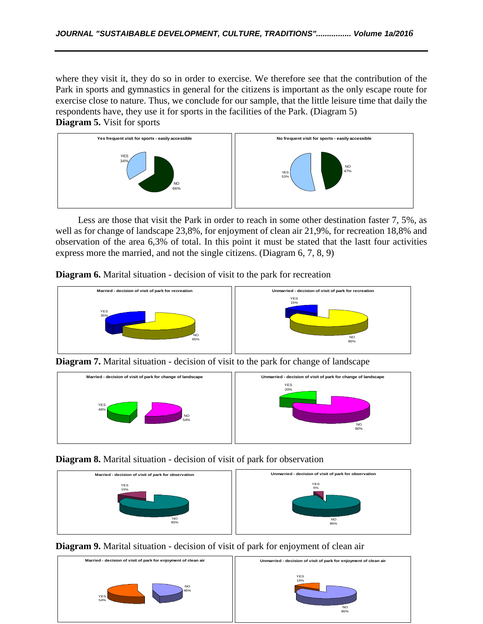where they visit it, they do so in order to exercise. We therefore see that the contribution of the Park in sports and gymnastics in general for the citizens is important as the only escape route for exercise close to nature. Thus, we conclude for our sample, that the little leisure time that daily the respondents have, they use it for sports in the facilities of the Park. (Diagram 5) **Diagram 5.** Visit for sports



Less are those that visit the Park in order to reach in some other destination faster 7, 5%, as well as for change of landscape 23,8%, for enjoyment of clean air 21,9%, for recreation 18,8% and observation of the area 6,3% of total. In this point it must be stated that the lastt four activities express more the married, and not the single citizens. (Diagram 6, 7, 8, 9)

**Diagram 6.** Marital situation - decision of visit to the park for recreation



**Diagram 7.** Marital situation - decision of visit to the park for change of landscape



**Diagram 8.** Marital situation - decision of visit of park for observation





**Diagram 9.** Marital situation - decision of visit of park for enjoyment of clean air

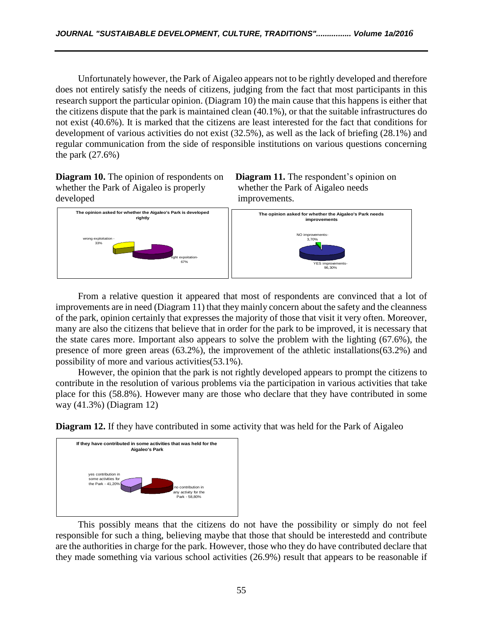Unfortunately however, the Park of Aigaleo appears not to be rightly developed and therefore does not entirely satisfy the needs of citizens, judging from the fact that most participants in this research support the particular opinion. (Diagram 10) the main cause that this happens is either that the citizens dispute that the park is maintained clean (40.1%), or that the suitable infrastructures do not exist (40.6%). It is marked that the citizens are least interested for the fact that conditions for development of various activities do not exist (32.5%), as well as the lack of briefing (28.1%) and regular communication from the side of responsible institutions on various questions concerning the park (27.6%)

whether the Park of Aigaleo is properly whether the Park of Aigaleo needs developed improvements.







From a relative question it appeared that most of respondents are convinced that a lot of improvements are in need (Diagram 11) that they mainly concern about the safety and the cleanness of the park, opinion certainly that expresses the majority of those that visit it very often. Moreover, many are also the citizens that believe that in order for the park to be improved, it is necessary that the state cares more. Important also appears to solve the problem with the lighting (67.6%), the presence of more green areas (63.2%), the improvement of the athletic installations(63.2%) and possibility of more and various activities(53.1%).

However, the opinion that the park is not rightly developed appears to prompt the citizens to contribute in the resolution of various problems via the participation in various activities that take place for this (58.8%). However many are those who declare that they have contributed in some way (41.3%) (Diagram 12)

**Diagram 12.** If they have contributed in some activity that was held for the Park of Aigaleo



This possibly means that the citizens do not have the possibility or simply do not feel responsible for such a thing, believing maybe that those that should be interestedd and contribute are the authorities in charge for the park. However, those who they do have contributed declare that they made something via various school activities (26.9%) result that appears to be reasonable if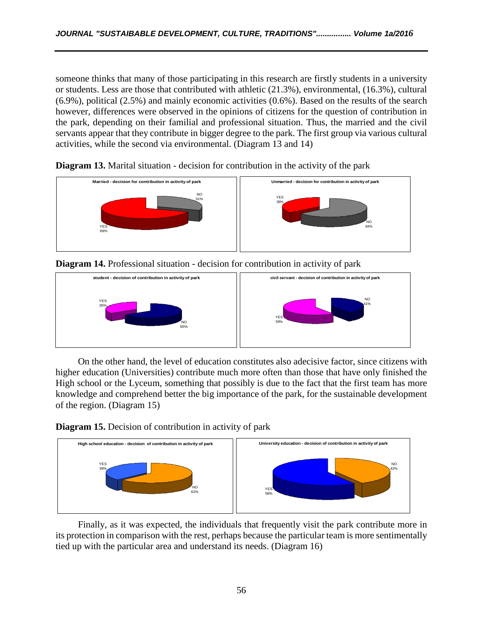someone thinks that many of those participating in this research are firstly students in a university or students. Less are those that contributed with athletic (21.3%), environmental, (16.3%), cultural (6.9%), political (2.5%) and mainly economic activities (0.6%). Based on the results of the search however, differences were observed in the opinions of citizens for the question of contribution in the park, depending on their familial and professional situation. Thus, the married and the civil servants appear that they contribute in bigger degree to the park. The first group via various cultural activities, while the second via environmental. (Diagram 13 and 14)



**Diagram 13.** Marital situation - decision for contribution in the activity of the park





On the other hand, the level of education constitutes also adecisive factor, since citizens with higher education (Universities) contribute much more often than those that have only finished the High school or the Lyceum, something that possibly is due to the fact that the first team has more knowledge and comprehend better the big importance of the park, for the sustainable development of the region. (Diagram 15)

**Diagram 15.** Decision of contribution in activity of park



Finally, as it was expected, the individuals that frequently visit the park contribute more in its protection in comparison with the rest, perhaps because the particular team is more sentimentally tied up with the particular area and understand its needs. (Diagram 16)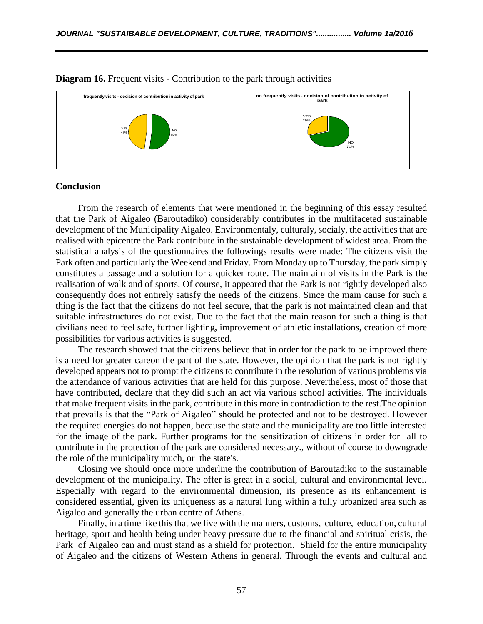

#### **Diagram 16.** Frequent visits - Contribution to the park through activities

#### **Conclusion**

From the research of elements that were mentioned in the beginning of this essay resulted that the Park of Aigaleo (Baroutadiko) considerably contributes in the multifaceted sustainable development of the Municipality Aigaleo. Environmentaly, culturaly, socialy, the activities that are realised with epicentre the Park contribute in the sustainable development of widest area. From the statistical analysis of the questionnaires the followings results were made: The citizens visit the Park often and particularly the Weekend and Friday. From Monday up to Thursday, the park simply constitutes a passage and a solution for a quicker route. The main aim of visits in the Park is the realisation of walk and of sports. Of course, it appeared that the Park is not rightly developed also consequently does not entirely satisfy the needs of the citizens. Since the main cause for such a thing is the fact that the citizens do not feel secure, that the park is not maintained clean and that suitable infrastructures do not exist. Due to the fact that the main reason for such a thing is that civilians need to feel safe, further lighting, improvement of athletic installations, creation of more possibilities for various activities is suggested.

The research showed that the citizens believe that in order for the park to be improved there is a need for greater careon the part of the state. However, the opinion that the park is not rightly developed appears not to prompt the citizens to contribute in the resolution of various problems via the attendance of various activities that are held for this purpose. Nevertheless, most of those that have contributed, declare that they did such an act via various school activities. The individuals that make frequent visits in the park, contribute in this more in contradiction to the rest.The opinion that prevails is that the "Park of Aigaleo" should be protected and not to be destroyed. However the required energies do not happen, because the state and the municipality are too little interested for the image of the park. Further programs for the sensitization of citizens in order for all to contribute in the protection of the park are considered necessary., without of course to downgrade the role of the municipality much, or the state's.

Closing we should once more underline the contribution of Baroutadiko to the sustainable development of the municipality. The offer is great in a social, cultural and environmental level. Especially with regard to the environmental dimension, its presence as its enhancement is considered essential, given its uniqueness as a natural lung within a fully urbanized area such as Aigaleo and generally the urban centre of Athens.

Finally, in a time like this that we live with the manners, customs, culture, education, cultural heritage, sport and health being under heavy pressure due to the financial and spiritual crisis, the Park of Aigaleo can and must stand as a shield for protection. Shield for the entire municipality of Aigaleo and the citizens of Western Athens in general. Through the events and cultural and